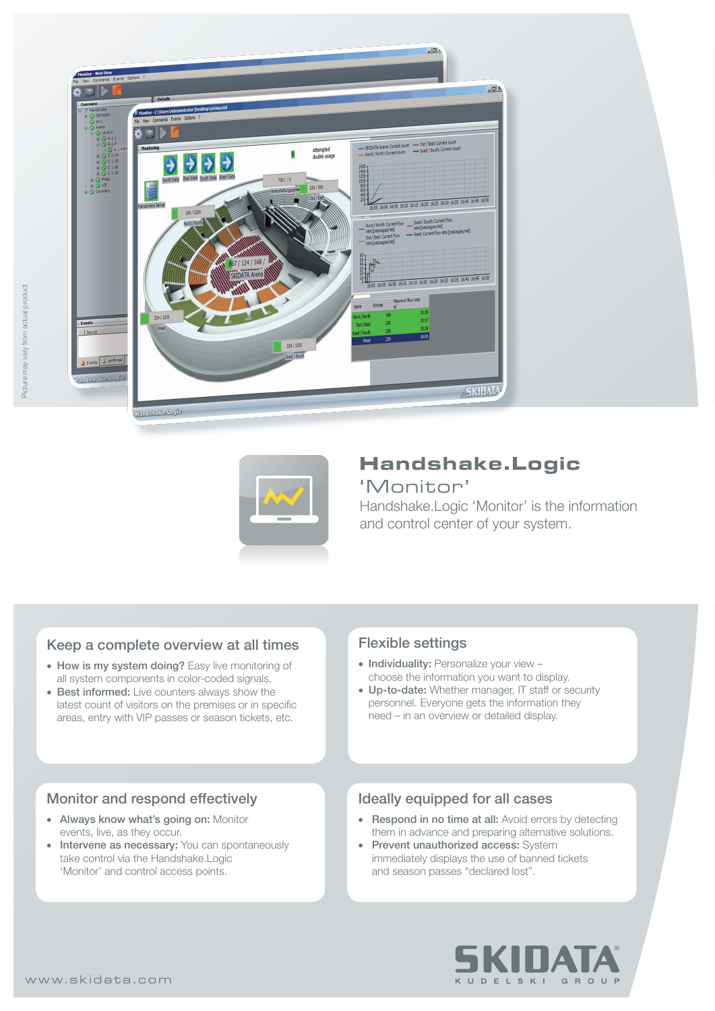



# **Handshake.Logic**

# 'Monitor'

Handshake.Logic 'Monitor' is the information and control center of your system.

# Keep a complete overview at all times

- How is my system doing? Easy live monitoring of all system components in color-coded signals.
- Best informed: Live counters always show the latest count of visitors on the premises or in specific areas, entry with VIP passes or season tickets, etc.

# Monitor and respond effectively

- Always know what's going on: Monitor events, live, as they occur.
- Intervene as necessary: You can spontaneously take control via the Handshake.Logic 'Monitor' and control access points.

## Flexible settings

- Individuality: Personalize your view choose the information you want to display.
- Up-to-date: Whether manager, IT staff or security personnel. Everyone gets the information they need – in an overview or detailed display.

## Ideally equipped for all cases

- Respond in no time at all: Avoid errors by detecting them in advance and preparing alternative solutions.
- Prevent unauthorized access: System immediately displays the use of banned tickets and season passes "declared lost".